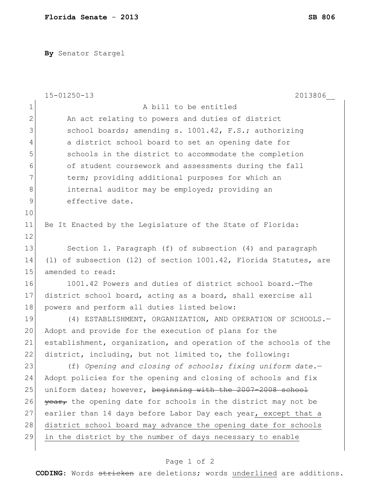**By** Senator Stargel

|               | $15 - 01250 - 13$<br>2013806                                     |
|---------------|------------------------------------------------------------------|
| $\mathbf 1$   | A bill to be entitled                                            |
| $\mathbf{2}$  | An act relating to powers and duties of district                 |
| 3             | school boards; amending s. 1001.42, F.S.; authorizing            |
| 4             | a district school board to set an opening date for               |
| 5             | schools in the district to accommodate the completion            |
| 6             | of student coursework and assessments during the fall            |
| 7             | term; providing additional purposes for which an                 |
| 8             | internal auditor may be employed; providing an                   |
| $\mathcal{G}$ | effective date.                                                  |
| 10            |                                                                  |
| 11            | Be It Enacted by the Legislature of the State of Florida:        |
| 12            |                                                                  |
| 13            | Section 1. Paragraph (f) of subsection (4) and paragraph         |
| 14            | (1) of subsection (12) of section 1001.42, Florida Statutes, are |
| 15            | amended to read:                                                 |
| 16            | 1001.42 Powers and duties of district school board. The          |
| 17            | district school board, acting as a board, shall exercise all     |
| 18            | powers and perform all duties listed below:                      |
| 19            | (4) ESTABLISHMENT, ORGANIZATION, AND OPERATION OF SCHOOLS. -     |
| 20            | Adopt and provide for the execution of plans for the             |
| 21            | establishment, organization, and operation of the schools of the |
| 22            | district, including, but not limited to, the following:          |
| 23            | (f) Opening and closing of schools; fixing uniform date.-        |
| 24            | Adopt policies for the opening and closing of schools and fix    |
| 25            | uniform dates; however, beginning with the 2007-2008 school      |
| 26            | year, the opening date for schools in the district may not be    |
| 27            | earlier than 14 days before Labor Day each year, except that a   |
| 28            | district school board may advance the opening date for schools   |
| 29            | in the district by the number of days necessary to enable        |
|               |                                                                  |

## Page 1 of 2

**CODING**: Words stricken are deletions; words underlined are additions.